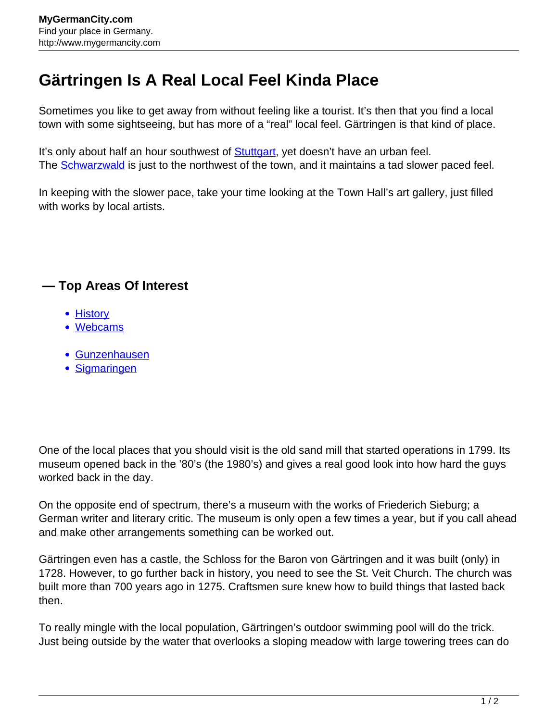## **Gärtringen Is A Real Local Feel Kinda Place**

Sometimes you like to get away from without feeling like a tourist. It's then that you find a local town with some sightseeing, but has more of a "real" local feel. Gärtringen is that kind of place.

It's only about half an hour southwest of **Stuttgart**, yet doesn't have an urban feel. The **[Schwarzwald](http://www.mygermancity.com/black-forest)** is just to the northwest of the town, and it maintains a tad slower paced feel.

In keeping with the slower pace, take your time looking at the Town Hall's art gallery, just filled with works by local artists.

## **— Top Areas Of Interest**

- [History](http://www.mygermancity.com/leipzig-history)
- [Webcams](http://www.mygermancity.com/neustadt-holstein-webcams)
- [Gunzenhausen](http://www.mygermancity.com/gunzenhausen)
- [Sigmaringen](http://www.mygermancity.com/sigmaringen)

One of the local places that you should visit is the old sand mill that started operations in 1799. Its museum opened back in the '80's (the 1980's) and gives a real good look into how hard the guys worked back in the day.

On the opposite end of spectrum, there's a museum with the works of Friederich Sieburg; a German writer and literary critic. The museum is only open a few times a year, but if you call ahead and make other arrangements something can be worked out.

Gärtringen even has a castle, the Schloss for the Baron von Gärtringen and it was built (only) in 1728. However, to go further back in history, you need to see the St. Veit Church. The church was built more than 700 years ago in 1275. Craftsmen sure knew how to build things that lasted back then.

To really mingle with the local population, Gärtringen's outdoor swimming pool will do the trick. Just being outside by the water that overlooks a sloping meadow with large towering trees can do